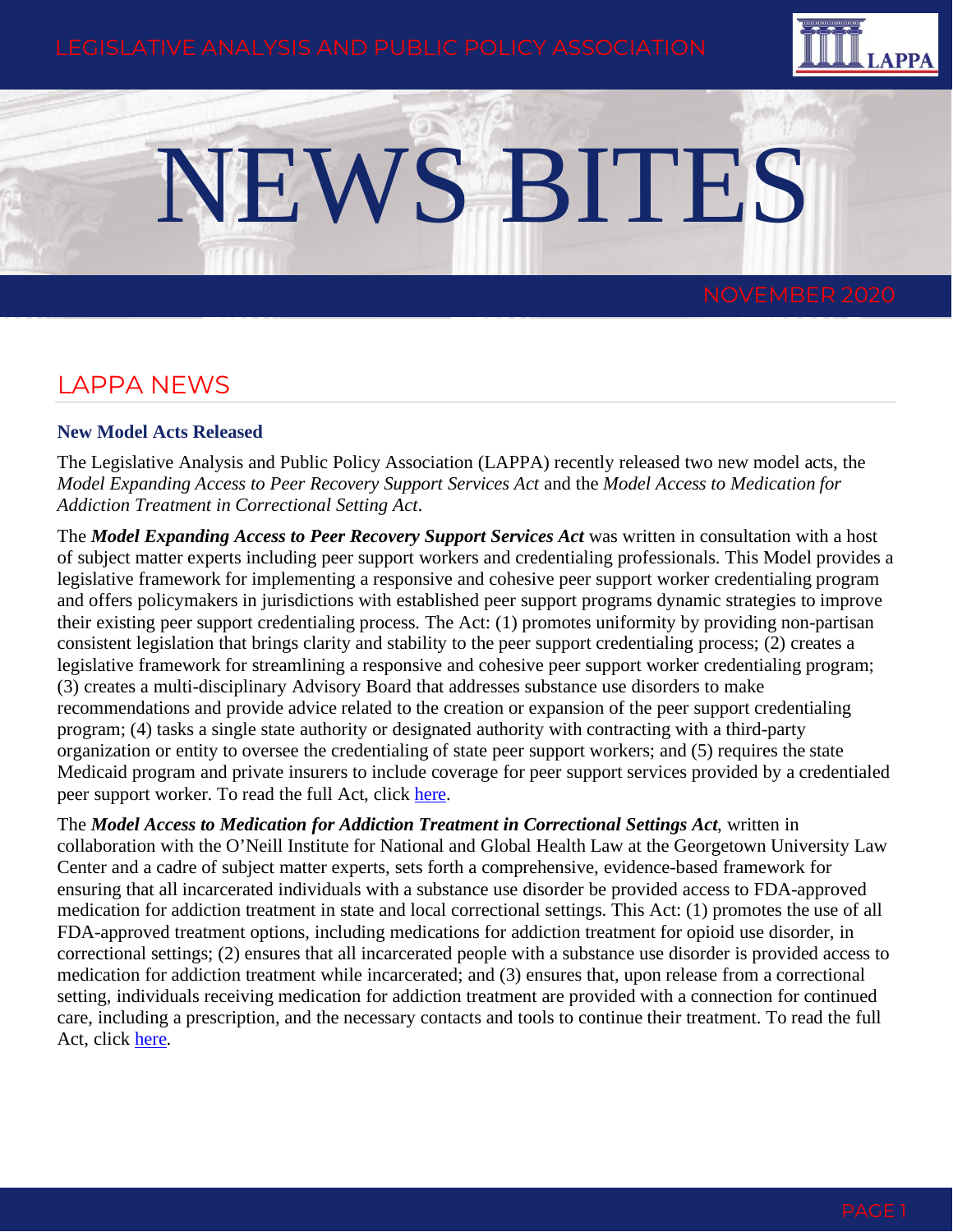

# NEWS BITES

## LAPPA NEWS

#### **New Model Acts Released**

The Legislative Analysis and Public Policy Association (LAPPA) recently released two new model acts, the *Model Expanding Access to Peer Recovery Support Services Act* and the *Model Access to Medication for Addiction Treatment in Correctional Setting Act*.

The *Model Expanding Access to Peer Recovery Support Services Act* was written in consultation with a host of subject matter experts including peer support workers and credentialing professionals. This Model provides a legislative framework for implementing a responsive and cohesive peer support worker credentialing program and offers policymakers in jurisdictions with established peer support programs dynamic strategies to improve their existing peer support credentialing process. The Act: (1) promotes uniformity by providing non-partisan consistent legislation that brings clarity and stability to the peer support credentialing process; (2) creates a legislative framework for streamlining a responsive and cohesive peer support worker credentialing program; (3) creates a multi-disciplinary Advisory Board that addresses substance use disorders to make recommendations and provide advice related to the creation or expansion of the peer support credentialing program; (4) tasks a single state authority or designated authority with contracting with a third-party organization or entity to oversee the credentialing of state peer support workers; and (5) requires the state Medicaid program and private insurers to include coverage for peer support services provided by a credentialed peer support worker. To read the full Act, click [here.](https://legislativeanalysis.org/wp-content/uploads/2020/10/Model-Expanding-Access-to-Peer-Recovery-Support-Services-Act-1.pdf)

The *Model Access to Medication for Addiction Treatment in Correctional Settings Act*, written in collaboration with the O'Neill Institute for National and Global Health Law at the Georgetown University Law Center and a cadre of subject matter experts, sets forth a comprehensive, evidence-based framework for ensuring that all incarcerated individuals with a substance use disorder be provided access to FDA-approved medication for addiction treatment in state and local correctional settings. This Act: (1) promotes the use of all FDA-approved treatment options, including medications for addiction treatment for opioid use disorder, in correctional settings; (2) ensures that all incarcerated people with a substance use disorder is provided access to medication for addiction treatment while incarcerated; and (3) ensures that, upon release from a correctional setting, individuals receiving medication for addiction treatment are provided with a connection for continued care, including a prescription, and the necessary contacts and tools to continue their treatment. To read the full Act, click [here.](https://legislativeanalysis.org/wp-content/uploads/2020/10/Model-Access-to-Medication-for-Addiction-Treatment-in-Correctional-Settings-Act-2.pdf)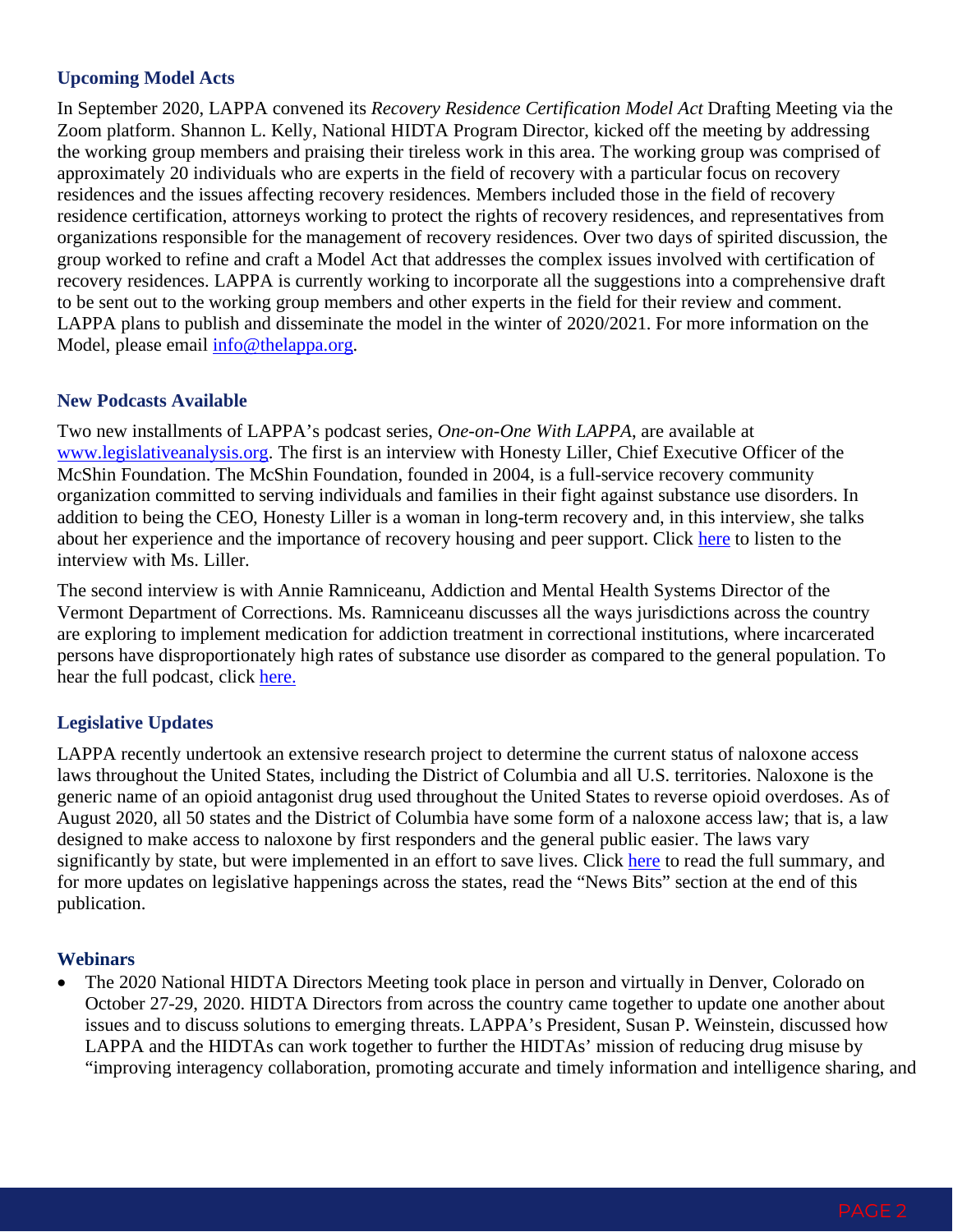## **Upcoming Model Acts**

In September 2020, LAPPA convened its *Recovery Residence Certification Model Act* Drafting Meeting via the Zoom platform. Shannon L. Kelly, National HIDTA Program Director, kicked off the meeting by addressing the working group members and praising their tireless work in this area. The working group was comprised of approximately 20 individuals who are experts in the field of recovery with a particular focus on recovery residences and the issues affecting recovery residences. Members included those in the field of recovery residence certification, attorneys working to protect the rights of recovery residences, and representatives from organizations responsible for the management of recovery residences. Over two days of spirited discussion, the group worked to refine and craft a Model Act that addresses the complex issues involved with certification of recovery residences. LAPPA is currently working to incorporate all the suggestions into a comprehensive draft to be sent out to the working group members and other experts in the field for their review and comment. LAPPA plans to publish and disseminate the model in the winter of 2020/2021. For more information on the Model, please email [info@thelappa.org.](mailto:info@thelappa.org)

#### **New Podcasts Available**

Two new installments of LAPPA's podcast series, *One-on-One With LAPPA*, are available at [www.legislativeanalysis.org.](http://www.legislativeanalysis.org/) The first is an interview with Honesty Liller, Chief Executive Officer of the McShin Foundation. The McShin Foundation, founded in 2004, is a full-service recovery community organization committed to serving individuals and families in their fight against substance use disorders. In addition to being the CEO, Honesty Liller is a woman in long-term recovery and, in this interview, she talks about her experience and the importance of recovery housing and peer support. Click [here](https://legislativeanalysis.org/media-gallery/) to listen to the interview with Ms. Liller.

The second interview is with Annie Ramniceanu, Addiction and Mental Health Systems Director of the Vermont Department of Corrections. Ms. Ramniceanu discusses all the ways jurisdictions across the country are exploring to implement medication for addiction treatment in correctional institutions, where incarcerated persons have disproportionately high rates of substance use disorder as compared to the general population. To hear the full podcast, click [here.](https://legislativeanalysis.org/media-gallery/)

## **Legislative Updates**

LAPPA recently undertook an extensive research project to determine the current status of naloxone access laws throughout the United States, including the District of Columbia and all U.S. territories. Naloxone is the generic name of an opioid antagonist drug used throughout the United States to reverse opioid overdoses. As of August 2020, all 50 states and the District of Columbia have some form of a naloxone access law; that is, a law designed to make access to naloxone by first responders and the general public easier. The laws vary significantly by state, but were implemented in an effort to save lives. Click [here](https://legislativeanalysis.org/naloxone-summary-of-state-laws/) to read the full summary, and for more updates on legislative happenings across the states, read the "News Bits" section at the end of this publication.

#### **Webinars**

• The 2020 National HIDTA Directors Meeting took place in person and virtually in Denver, Colorado on October 27-29, 2020. HIDTA Directors from across the country came together to update one another about issues and to discuss solutions to emerging threats. LAPPA's President, Susan P. Weinstein, discussed how LAPPA and the HIDTAs can work together to further the HIDTAs' mission of reducing drug misuse by "improving interagency collaboration, promoting accurate and timely information and intelligence sharing, and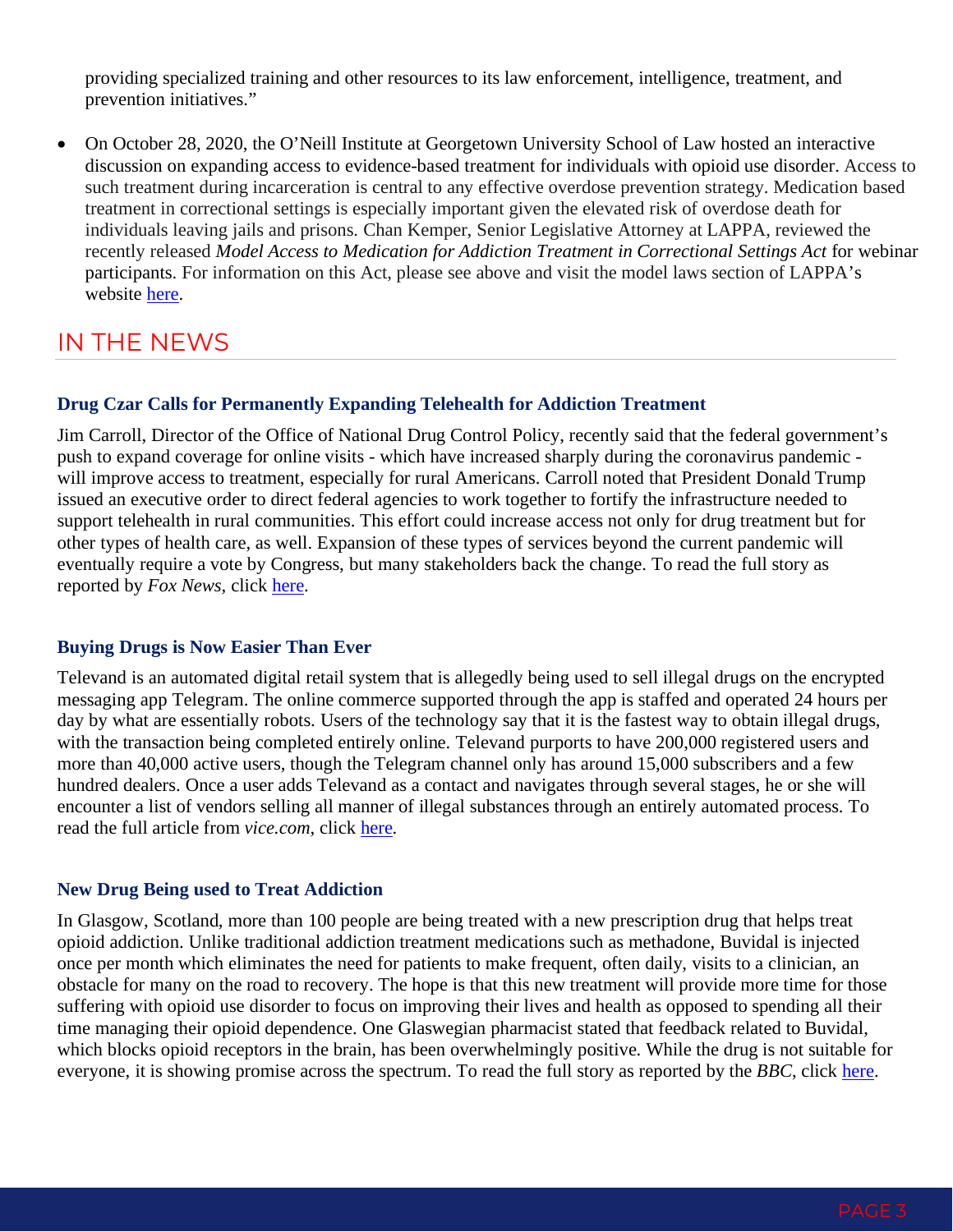providing specialized training and other resources to its law enforcement, intelligence, treatment, and prevention initiatives."

• On October 28, 2020, the O'Neill Institute at Georgetown University School of Law hosted an interactive discussion on expanding access to evidence-based treatment for individuals with opioid use disorder. Access to such treatment during incarceration is central to any effective overdose prevention strategy. Medication based treatment in correctional settings is especially important given the elevated risk of overdose death for individuals leaving jails and prisons. Chan Kemper, Senior Legislative Attorney at LAPPA, reviewed the recently released *Model Access to Medication for Addiction Treatment in Correctional Settings Act* for webinar participants. For information on this Act, please see above and visit the model laws section of LAPPA's website [here.](https://legislativeanalysis.org/model-laws/)

# IN THE NEWS

#### **Drug Czar Calls for Permanently Expanding Telehealth for Addiction Treatment**

Jim Carroll, Director of the Office of National Drug Control Policy, recently said that the federal government's push to expand coverage for online visits - which have increased sharply during the coronavirus pandemic will improve access to treatment, especially for rural Americans. Carroll noted that President Donald Trump issued an executive order to direct federal agencies to work together to fortify the infrastructure needed to support telehealth in rural communities. This effort could increase access not only for drug treatment but for other types of health care, as well. Expansion of these types of services beyond the current pandemic will eventually require a vote by Congress, but many stakeholders back the change. To read the full story as reported by *Fox News*, click [here.](https://www.foxnews.com/politics/us-drug-czar-james-carroll-opioid-crisis-johnson-oklahoma)

#### **Buying Drugs is Now Easier Than Ever**

Televand is an automated digital retail system that is allegedly being used to sell illegal drugs on the encrypted messaging app Telegram. The online commerce supported through the app is staffed and operated 24 hours per day by what are essentially robots. Users of the technology say that it is the fastest way to obtain illegal drugs, with the transaction being completed entirely online. Televand purports to have 200,000 registered users and more than 40,000 active users, though the Telegram channel only has around 15,000 subscribers and a few hundred dealers. Once a user adds Televand as a contact and navigates through several stages, he or she will encounter a list of vendors selling all manner of illegal substances through an entirely automated process. To read the full article from *vice.com*, click [here.](https://www.vice.com/en/article/jgxypy/televend-robot-drug-dealer-telegram)

#### **New Drug Being used to Treat Addiction**

In Glasgow, Scotland, more than 100 people are being treated with a new prescription drug that helps treat opioid addiction. Unlike traditional addiction treatment medications such as methadone, Buvidal is injected once per month which eliminates the need for patients to make frequent, often daily, visits to a clinician, an obstacle for many on the road to recovery. The hope is that this new treatment will provide more time for those suffering with opioid use disorder to focus on improving their lives and health as opposed to spending all their time managing their opioid dependence. One Glaswegian pharmacist stated that feedback related to Buvidal, which blocks opioid receptors in the brain, has been overwhelmingly positive. While the drug is not suitable for everyone, it is showing promise across the spectrum. To read the full story as reported by the *BBC*, click [here.](https://www.bbc.com/news/uk-scotland-54433312)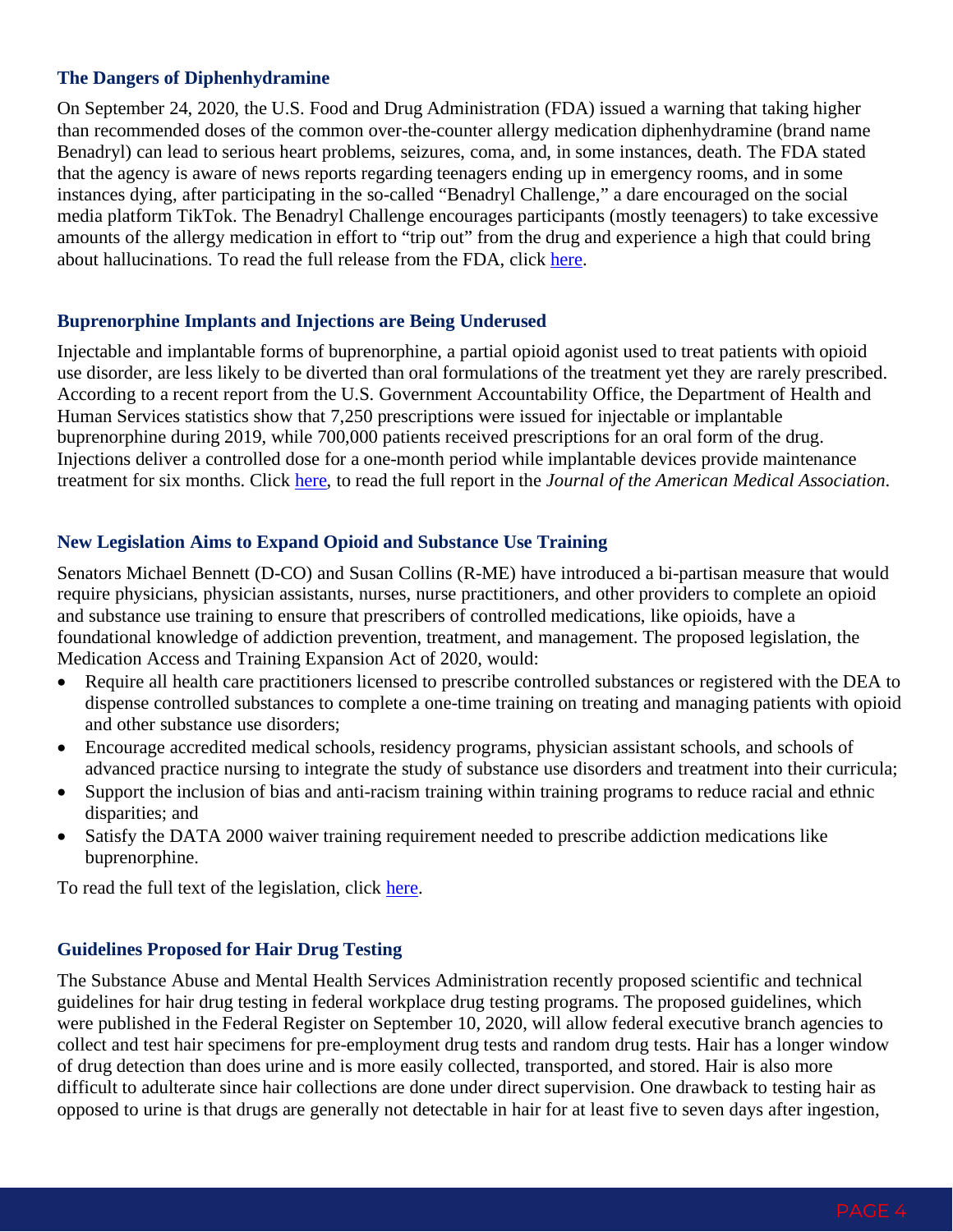#### **The Dangers of Diphenhydramine**

On September 24, 2020, the U.S. Food and Drug Administration (FDA) issued a warning that taking higher than recommended doses of the common over-the-counter allergy medication diphenhydramine (brand name Benadryl) can lead to serious heart problems, seizures, coma, and, in some instances, death. The FDA stated that the agency is aware of news reports regarding teenagers ending up in emergency rooms, and in some instances dying, after participating in the so-called "Benadryl Challenge," a dare encouraged on the social media platform TikTok. The Benadryl Challenge encourages participants (mostly teenagers) to take excessive amounts of the allergy medication in effort to "trip out" from the drug and experience a high that could bring about hallucinations. To read the full release from the FDA, click [here.](https://www.fda.gov/drugs/drug-safety-and-availability/fda-warns-about-serious-problems-high-doses-allergy-medicine-diphenhydramine-benadryl)

#### **Buprenorphine Implants and Injections are Being Underused**

Injectable and implantable forms of buprenorphine, a partial opioid agonist used to treat patients with opioid use disorder, are less likely to be diverted than oral formulations of the treatment yet they are rarely prescribed. According to a recent report from the U.S. Government Accountability Office, the Department of Health and Human Services statistics show that 7,250 prescriptions were issued for injectable or implantable buprenorphine during 2019, while 700,000 patients received prescriptions for an oral form of the drug. Injections deliver a controlled dose for a one-month period while implantable devices provide maintenance treatment for six months. Click [here,](https://jamanetwork.com/journals/jama/article-abstract/2770828) to read the full report in the *Journal of the American Medical Association*.

#### **New Legislation Aims to Expand Opioid and Substance Use Training**

Senators Michael Bennett (D-CO) and Susan Collins (R-ME) have introduced a bi-partisan measure that would require physicians, physician assistants, nurses, nurse practitioners, and other providers to complete an opioid and substance use training to ensure that prescribers of controlled medications, like opioids, have a foundational knowledge of addiction prevention, treatment, and management. The proposed legislation, the Medication Access and Training Expansion Act of 2020, would:

- Require all health care practitioners licensed to prescribe controlled substances or registered with the DEA to dispense controlled substances to complete a one-time training on treating and managing patients with opioid and other substance use disorders;
- Encourage accredited medical schools, residency programs, physician assistant schools, and schools of advanced practice nursing to integrate the study of substance use disorders and treatment into their curricula;
- Support the inclusion of bias and anti-racism training within training programs to reduce racial and ethnic disparities; and
- Satisfy the DATA 2000 waiver training requirement needed to prescribe addiction medications like buprenorphine.

To read the full text of the legislation, click [here.](https://www.bennet.senate.gov/public/_cache/files/7/6/76aef3d7-d6d7-4eb3-b7cb-6f3899425fcc/9AF13782E8F12B858364150862595231.dun20552.pdf)

#### **Guidelines Proposed for Hair Drug Testing**

The Substance Abuse and Mental Health Services Administration recently proposed scientific and technical guidelines for hair drug testing in federal workplace drug testing programs. The proposed guidelines, which were published in the Federal Register on September 10, 2020, will allow federal executive branch agencies to collect and test hair specimens for pre-employment drug tests and random drug tests. Hair has a longer window of drug detection than does urine and is more easily collected, transported, and stored. Hair is also more difficult to adulterate since hair collections are done under direct supervision. One drawback to testing hair as opposed to urine is that drugs are generally not detectable in hair for at least five to seven days after ingestion,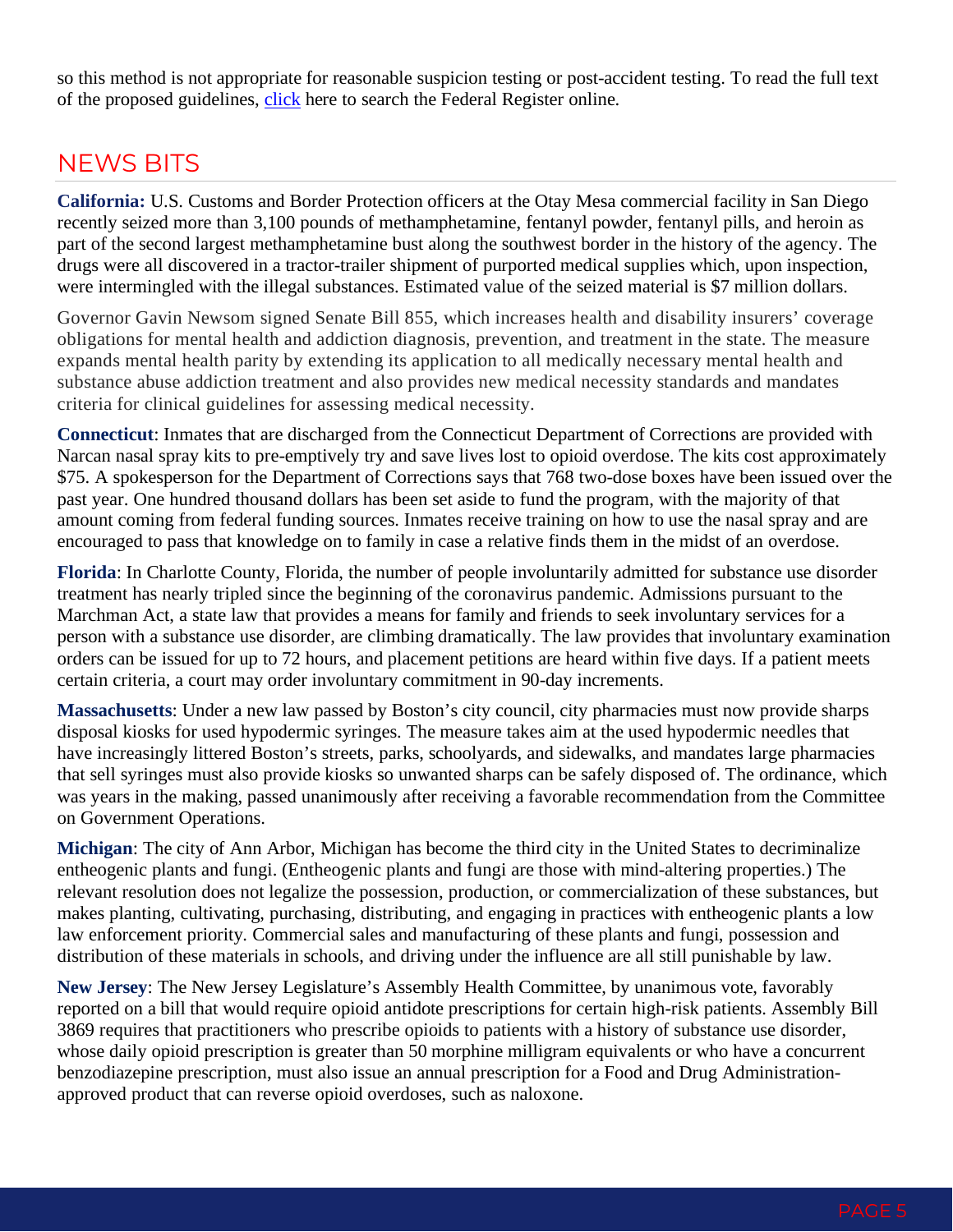so this method is not appropriate for reasonable suspicion testing or post-accident testing. To read the full text of the proposed guidelines, [click](https://www.federalregister.gov/) here to search the Federal Register online.

# NEWS BITS

**California:** U.S. Customs and Border Protection officers at the Otay Mesa commercial facility in San Diego recently seized more than 3,100 pounds of methamphetamine, fentanyl powder, fentanyl pills, and heroin as part of the second largest methamphetamine bust along the southwest border in the history of the agency. The drugs were all discovered in a tractor-trailer shipment of purported medical supplies which, upon inspection, were intermingled with the illegal substances. Estimated value of the seized material is \$7 million dollars.

Governor Gavin Newsom signed Senate Bill 855, which increases health and disability insurers' coverage obligations for mental health and addiction diagnosis, prevention, and treatment in the state. The measure expands mental health parity by extending its application to all medically necessary mental health and substance abuse addiction treatment and also provides new medical necessity standards and mandates criteria for clinical guidelines for assessing medical necessity.

**Connecticut**: Inmates that are discharged from the Connecticut Department of Corrections are provided with Narcan nasal spray kits to pre-emptively try and save lives lost to opioid overdose. The kits cost approximately \$75. A spokesperson for the Department of Corrections says that 768 two-dose boxes have been issued over the past year. One hundred thousand dollars has been set aside to fund the program, with the majority of that amount coming from federal funding sources. Inmates receive training on how to use the nasal spray and are encouraged to pass that knowledge on to family in case a relative finds them in the midst of an overdose.

**Florida**: In Charlotte County, Florida, the number of people involuntarily admitted for substance use disorder treatment has nearly tripled since the beginning of the coronavirus pandemic. Admissions pursuant to the Marchman Act, a state law that provides a means for family and friends to seek involuntary services for a person with a substance use disorder, are climbing dramatically. The law provides that involuntary examination orders can be issued for up to 72 hours, and placement petitions are heard within five days. If a patient meets certain criteria, a court may order involuntary commitment in 90-day increments.

**Massachusetts**: Under a new law passed by Boston's city council, city pharmacies must now provide sharps disposal kiosks for used hypodermic syringes. The measure takes aim at the used hypodermic needles that have [increasingly littered Boston's streets, parks, schoolyards, and sidewalks,](https://www.boston.com/news/local-news/2019/06/17/opioid-crisis-impacts-discarded-needles-orchard-gardens-lower-roxbury) and mandates large pharmacies that sell syringes must also provide kiosks so unwanted sharps can be safely disposed of. The ordinance, which was years in the making, passed unanimously after receiving a favorable recommendation from the Committee on Government Operations.

**Michigan**: The city of Ann Arbor, Michigan has become the third city in the United States to decriminalize entheogenic plants and fungi. (Entheogenic plants and fungi are those with mind-altering properties.) The relevant resolution does not legalize the possession, production, or commercialization of these substances, but makes planting, cultivating, purchasing, distributing, and engaging in practices with entheogenic plants a low law enforcement priority. Commercial sales and manufacturing of these plants and fungi, possession and distribution of these materials in schools, and driving under the influence are all still punishable by law.

**New Jersey**: The New Jersey Legislature's Assembly Health Committee, by unanimous vote, favorably reported on a bill that would require opioid antidote prescriptions for certain high-risk patients. Assembly Bill 3869 requires that practitioners who prescribe opioids to patients with a history of substance use disorder, whose daily opioid prescription is greater than 50 morphine milligram equivalents or who have a concurrent benzodiazepine prescription, must also issue an annual prescription for a Food and Drug Administrationapproved product that can reverse opioid overdoses, such as naloxone.